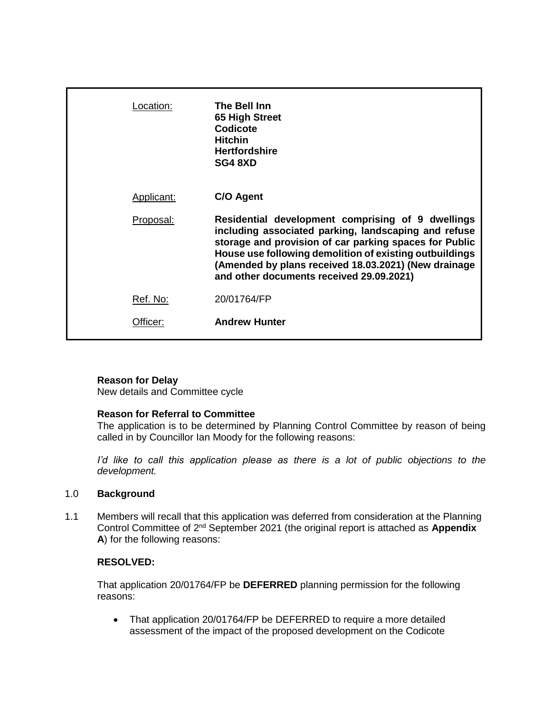| Location:  | The Bell Inn<br>65 High Street<br>Codicote<br><b>Hitchin</b><br><b>Hertfordshire</b><br>SG4 8XD                                                                                                                                                                                                                                    |
|------------|------------------------------------------------------------------------------------------------------------------------------------------------------------------------------------------------------------------------------------------------------------------------------------------------------------------------------------|
| Applicant: | C/O Agent                                                                                                                                                                                                                                                                                                                          |
| Proposal:  | Residential development comprising of 9 dwellings<br>including associated parking, landscaping and refuse<br>storage and provision of car parking spaces for Public<br>House use following demolition of existing outbuildings<br>(Amended by plans received 18.03.2021) (New drainage<br>and other documents received 29.09.2021) |
| Ref. No:   | 20/01764/FP                                                                                                                                                                                                                                                                                                                        |
| ttıcer:    | <b>Andrew Hunter</b>                                                                                                                                                                                                                                                                                                               |

# **Reason for Delay**

New details and Committee cycle

### **Reason for Referral to Committee**

The application is to be determined by Planning Control Committee by reason of being called in by Councillor Ian Moody for the following reasons:

*I'd like to call this application please as there is a lot of public objections to the development.*

### 1.0 **Background**

1.1 Members will recall that this application was deferred from consideration at the Planning Control Committee of 2<sup>nd</sup> September 2021 (the original report is attached as Appendix **A**) for the following reasons:

# **RESOLVED:**

That application 20/01764/FP be **DEFERRED** planning permission for the following reasons:

• That application 20/01764/FP be DEFERRED to require a more detailed assessment of the impact of the proposed development on the Codicote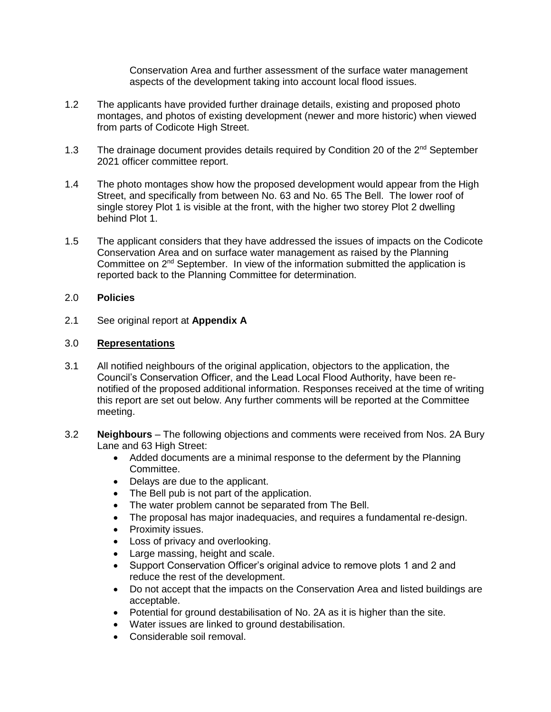Conservation Area and further assessment of the surface water management aspects of the development taking into account local flood issues.

- 1.2 The applicants have provided further drainage details, existing and proposed photo montages, and photos of existing development (newer and more historic) when viewed from parts of Codicote High Street.
- 1.3 The drainage document provides details required by Condition 20 of the 2<sup>nd</sup> September 2021 officer committee report.
- 1.4 The photo montages show how the proposed development would appear from the High Street, and specifically from between No. 63 and No. 65 The Bell. The lower roof of single storey Plot 1 is visible at the front, with the higher two storey Plot 2 dwelling behind Plot 1.
- 1.5 The applicant considers that they have addressed the issues of impacts on the Codicote Conservation Area and on surface water management as raised by the Planning Committee on  $2<sup>nd</sup>$  September. In view of the information submitted the application is reported back to the Planning Committee for determination.

### 2.0 **Policies**

2.1 See original report at **Appendix A**

# 3.0 **Representations**

- 3.1 All notified neighbours of the original application, objectors to the application, the Council's Conservation Officer, and the Lead Local Flood Authority, have been renotified of the proposed additional information. Responses received at the time of writing this report are set out below. Any further comments will be reported at the Committee meeting.
- 3.2 **Neighbours** The following objections and comments were received from Nos. 2A Bury Lane and 63 High Street:
	- Added documents are a minimal response to the deferment by the Planning Committee.
	- Delays are due to the applicant.
	- The Bell pub is not part of the application.
	- The water problem cannot be separated from The Bell.
	- The proposal has major inadequacies, and requires a fundamental re-design.
	- Proximity issues.
	- Loss of privacy and overlooking.
	- Large massing, height and scale.
	- Support Conservation Officer's original advice to remove plots 1 and 2 and reduce the rest of the development.
	- Do not accept that the impacts on the Conservation Area and listed buildings are acceptable.
	- Potential for ground destabilisation of No. 2A as it is higher than the site.
	- Water issues are linked to ground destabilisation.
	- Considerable soil removal.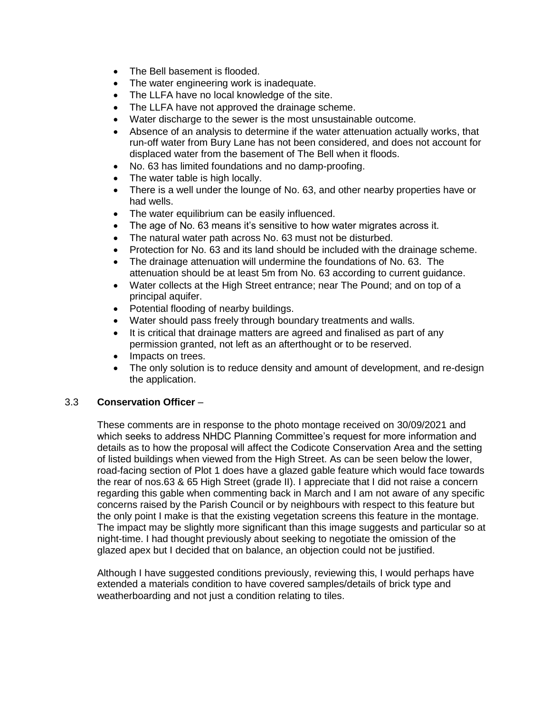- The Bell basement is flooded.
- The water engineering work is inadequate.
- The LLFA have no local knowledge of the site.
- The LLFA have not approved the drainage scheme.
- Water discharge to the sewer is the most unsustainable outcome.
- Absence of an analysis to determine if the water attenuation actually works, that run-off water from Bury Lane has not been considered, and does not account for displaced water from the basement of The Bell when it floods.
- No. 63 has limited foundations and no damp-proofing.
- The water table is high locally.
- There is a well under the lounge of No. 63, and other nearby properties have or had wells.
- The water equilibrium can be easily influenced.
- The age of No. 63 means it's sensitive to how water migrates across it.
- The natural water path across No. 63 must not be disturbed.
- Protection for No. 63 and its land should be included with the drainage scheme.
- The drainage attenuation will undermine the foundations of No. 63. The attenuation should be at least 5m from No. 63 according to current guidance.
- Water collects at the High Street entrance; near The Pound; and on top of a principal aquifer.
- Potential flooding of nearby buildings.
- Water should pass freely through boundary treatments and walls.
- It is critical that drainage matters are agreed and finalised as part of any permission granted, not left as an afterthought or to be reserved.
- Impacts on trees.
- The only solution is to reduce density and amount of development, and re-design the application.

# 3.3 **Conservation Officer** –

These comments are in response to the photo montage received on 30/09/2021 and which seeks to address NHDC Planning Committee's request for more information and details as to how the proposal will affect the Codicote Conservation Area and the setting of listed buildings when viewed from the High Street. As can be seen below the lower, road-facing section of Plot 1 does have a glazed gable feature which would face towards the rear of nos.63 & 65 High Street (grade II). I appreciate that I did not raise a concern regarding this gable when commenting back in March and I am not aware of any specific concerns raised by the Parish Council or by neighbours with respect to this feature but the only point I make is that the existing vegetation screens this feature in the montage. The impact may be slightly more significant than this image suggests and particular so at night-time. I had thought previously about seeking to negotiate the omission of the glazed apex but I decided that on balance, an objection could not be justified.

Although I have suggested conditions previously, reviewing this, I would perhaps have extended a materials condition to have covered samples/details of brick type and weatherboarding and not just a condition relating to tiles.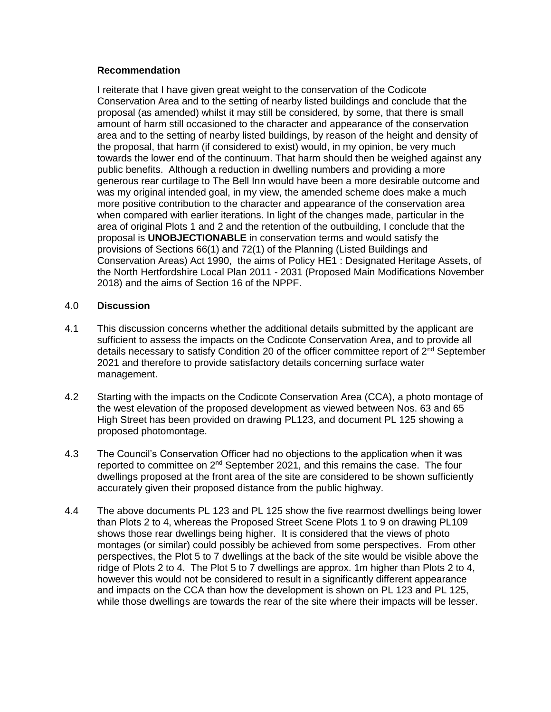### **Recommendation**

I reiterate that I have given great weight to the conservation of the Codicote Conservation Area and to the setting of nearby listed buildings and conclude that the proposal (as amended) whilst it may still be considered, by some, that there is small amount of harm still occasioned to the character and appearance of the conservation area and to the setting of nearby listed buildings, by reason of the height and density of the proposal, that harm (if considered to exist) would, in my opinion, be very much towards the lower end of the continuum. That harm should then be weighed against any public benefits. Although a reduction in dwelling numbers and providing a more generous rear curtilage to The Bell Inn would have been a more desirable outcome and was my original intended goal, in my view, the amended scheme does make a much more positive contribution to the character and appearance of the conservation area when compared with earlier iterations. In light of the changes made, particular in the area of original Plots 1 and 2 and the retention of the outbuilding, I conclude that the proposal is **UNOBJECTIONABLE** in conservation terms and would satisfy the provisions of Sections 66(1) and 72(1) of the Planning (Listed Buildings and Conservation Areas) Act 1990, the aims of Policy HE1 : Designated Heritage Assets, of the North Hertfordshire Local Plan 2011 - 2031 (Proposed Main Modifications November 2018) and the aims of Section 16 of the NPPF.

# 4.0 **Discussion**

- 4.1 This discussion concerns whether the additional details submitted by the applicant are sufficient to assess the impacts on the Codicote Conservation Area, and to provide all details necessary to satisfy Condition 20 of the officer committee report of  $2^{nd}$  September 2021 and therefore to provide satisfactory details concerning surface water management.
- 4.2 Starting with the impacts on the Codicote Conservation Area (CCA), a photo montage of the west elevation of the proposed development as viewed between Nos. 63 and 65 High Street has been provided on drawing PL123, and document PL 125 showing a proposed photomontage.
- 4.3 The Council's Conservation Officer had no objections to the application when it was reported to committee on 2<sup>nd</sup> September 2021, and this remains the case. The four dwellings proposed at the front area of the site are considered to be shown sufficiently accurately given their proposed distance from the public highway.
- 4.4 The above documents PL 123 and PL 125 show the five rearmost dwellings being lower than Plots 2 to 4, whereas the Proposed Street Scene Plots 1 to 9 on drawing PL109 shows those rear dwellings being higher. It is considered that the views of photo montages (or similar) could possibly be achieved from some perspectives. From other perspectives, the Plot 5 to 7 dwellings at the back of the site would be visible above the ridge of Plots 2 to 4. The Plot 5 to 7 dwellings are approx. 1m higher than Plots 2 to 4, however this would not be considered to result in a significantly different appearance and impacts on the CCA than how the development is shown on PL 123 and PL 125, while those dwellings are towards the rear of the site where their impacts will be lesser.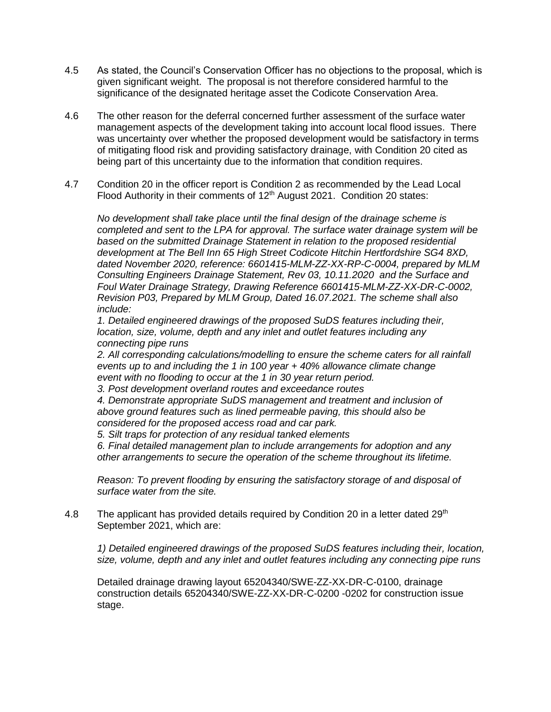- 4.5 As stated, the Council's Conservation Officer has no objections to the proposal, which is given significant weight. The proposal is not therefore considered harmful to the significance of the designated heritage asset the Codicote Conservation Area.
- 4.6 The other reason for the deferral concerned further assessment of the surface water management aspects of the development taking into account local flood issues. There was uncertainty over whether the proposed development would be satisfactory in terms of mitigating flood risk and providing satisfactory drainage, with Condition 20 cited as being part of this uncertainty due to the information that condition requires.
- 4.7 Condition 20 in the officer report is Condition 2 as recommended by the Lead Local Flood Authority in their comments of  $12<sup>th</sup>$  August 2021. Condition 20 states:

*No development shall take place until the final design of the drainage scheme is completed and sent to the LPA for approval. The surface water drainage system will be based on the submitted Drainage Statement in relation to the proposed residential development at The Bell Inn 65 High Street Codicote Hitchin Hertfordshire SG4 8XD, dated November 2020, reference: 6601415-MLM-ZZ-XX-RP-C-0004, prepared by MLM Consulting Engineers Drainage Statement, Rev 03, 10.11.2020 and the Surface and Foul Water Drainage Strategy, Drawing Reference 6601415-MLM-ZZ-XX-DR-C-0002, Revision P03, Prepared by MLM Group, Dated 16.07.2021. The scheme shall also include:* 

*1. Detailed engineered drawings of the proposed SuDS features including their, location, size, volume, depth and any inlet and outlet features including any connecting pipe runs* 

*2. All corresponding calculations/modelling to ensure the scheme caters for all rainfall events up to and including the 1 in 100 year + 40% allowance climate change event with no flooding to occur at the 1 in 30 year return period.* 

*3. Post development overland routes and exceedance routes* 

*4. Demonstrate appropriate SuDS management and treatment and inclusion of above ground features such as lined permeable paving, this should also be considered for the proposed access road and car park.* 

*5. Silt traps for protection of any residual tanked elements* 

*6. Final detailed management plan to include arrangements for adoption and any other arrangements to secure the operation of the scheme throughout its lifetime.*

*Reason: To prevent flooding by ensuring the satisfactory storage of and disposal of surface water from the site.*

4.8 The applicant has provided details required by Condition 20 in a letter dated 29<sup>th</sup> September 2021, which are:

*1) Detailed engineered drawings of the proposed SuDS features including their, location, size, volume, depth and any inlet and outlet features including any connecting pipe runs* 

Detailed drainage drawing layout 65204340/SWE-ZZ-XX-DR-C-0100, drainage construction details 65204340/SWE-ZZ-XX-DR-C-0200 -0202 for construction issue stage.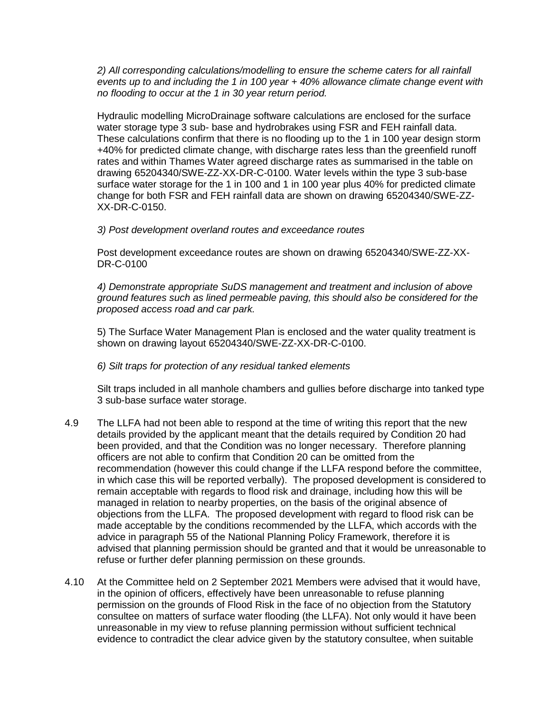*2) All corresponding calculations/modelling to ensure the scheme caters for all rainfall events up to and including the 1 in 100 year + 40% allowance climate change event with no flooding to occur at the 1 in 30 year return period.* 

Hydraulic modelling MicroDrainage software calculations are enclosed for the surface water storage type 3 sub- base and hydrobrakes using FSR and FEH rainfall data. These calculations confirm that there is no flooding up to the 1 in 100 year design storm +40% for predicted climate change, with discharge rates less than the greenfield runoff rates and within Thames Water agreed discharge rates as summarised in the table on drawing 65204340/SWE-ZZ-XX-DR-C-0100. Water levels within the type 3 sub-base surface water storage for the 1 in 100 and 1 in 100 year plus 40% for predicted climate change for both FSR and FEH rainfall data are shown on drawing 65204340/SWE-ZZ-XX-DR-C-0150.

### *3) Post development overland routes and exceedance routes*

Post development exceedance routes are shown on drawing 65204340/SWE-ZZ-XX-DR-C-0100

*4) Demonstrate appropriate SuDS management and treatment and inclusion of above ground features such as lined permeable paving, this should also be considered for the proposed access road and car park.* 

5) The Surface Water Management Plan is enclosed and the water quality treatment is shown on drawing layout 65204340/SWE-ZZ-XX-DR-C-0100.

### *6) Silt traps for protection of any residual tanked elements*

Silt traps included in all manhole chambers and gullies before discharge into tanked type 3 sub-base surface water storage.

- 4.9 The LLFA had not been able to respond at the time of writing this report that the new details provided by the applicant meant that the details required by Condition 20 had been provided, and that the Condition was no longer necessary. Therefore planning officers are not able to confirm that Condition 20 can be omitted from the recommendation (however this could change if the LLFA respond before the committee, in which case this will be reported verbally). The proposed development is considered to remain acceptable with regards to flood risk and drainage, including how this will be managed in relation to nearby properties, on the basis of the original absence of objections from the LLFA. The proposed development with regard to flood risk can be made acceptable by the conditions recommended by the LLFA, which accords with the advice in paragraph 55 of the National Planning Policy Framework, therefore it is advised that planning permission should be granted and that it would be unreasonable to refuse or further defer planning permission on these grounds.
- 4.10 At the Committee held on 2 September 2021 Members were advised that it would have, in the opinion of officers, effectively have been unreasonable to refuse planning permission on the grounds of Flood Risk in the face of no objection from the Statutory consultee on matters of surface water flooding (the LLFA). Not only would it have been unreasonable in my view to refuse planning permission without sufficient technical evidence to contradict the clear advice given by the statutory consultee, when suitable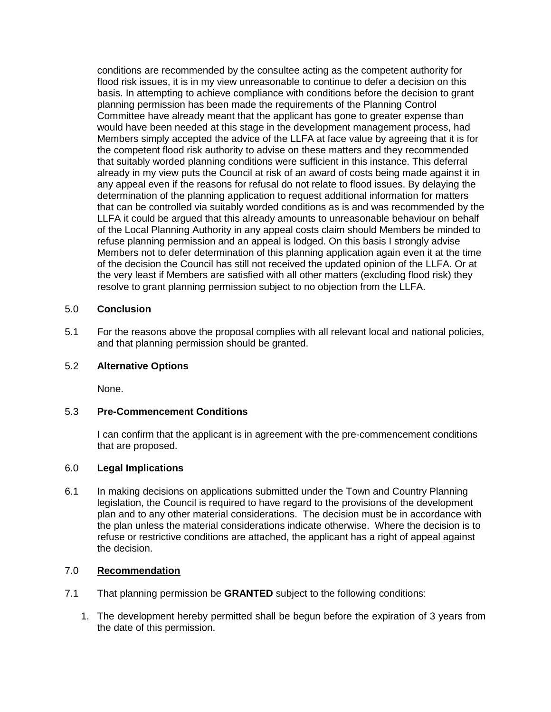conditions are recommended by the consultee acting as the competent authority for flood risk issues, it is in my view unreasonable to continue to defer a decision on this basis. In attempting to achieve compliance with conditions before the decision to grant planning permission has been made the requirements of the Planning Control Committee have already meant that the applicant has gone to greater expense than would have been needed at this stage in the development management process, had Members simply accepted the advice of the LLFA at face value by agreeing that it is for the competent flood risk authority to advise on these matters and they recommended that suitably worded planning conditions were sufficient in this instance. This deferral already in my view puts the Council at risk of an award of costs being made against it in any appeal even if the reasons for refusal do not relate to flood issues. By delaying the determination of the planning application to request additional information for matters that can be controlled via suitably worded conditions as is and was recommended by the LLFA it could be argued that this already amounts to unreasonable behaviour on behalf of the Local Planning Authority in any appeal costs claim should Members be minded to refuse planning permission and an appeal is lodged. On this basis I strongly advise Members not to defer determination of this planning application again even it at the time of the decision the Council has still not received the updated opinion of the LLFA. Or at the very least if Members are satisfied with all other matters (excluding flood risk) they resolve to grant planning permission subject to no objection from the LLFA.

# 5.0 **Conclusion**

5.1 For the reasons above the proposal complies with all relevant local and national policies, and that planning permission should be granted.

### 5.2 **Alternative Options**

None.

# 5.3 **Pre-Commencement Conditions**

I can confirm that the applicant is in agreement with the pre-commencement conditions that are proposed.

### 6.0 **Legal Implications**

6.1 In making decisions on applications submitted under the Town and Country Planning legislation, the Council is required to have regard to the provisions of the development plan and to any other material considerations. The decision must be in accordance with the plan unless the material considerations indicate otherwise. Where the decision is to refuse or restrictive conditions are attached, the applicant has a right of appeal against the decision.

### 7.0 **Recommendation**

- 7.1 That planning permission be **GRANTED** subject to the following conditions:
	- 1. The development hereby permitted shall be begun before the expiration of 3 years from the date of this permission.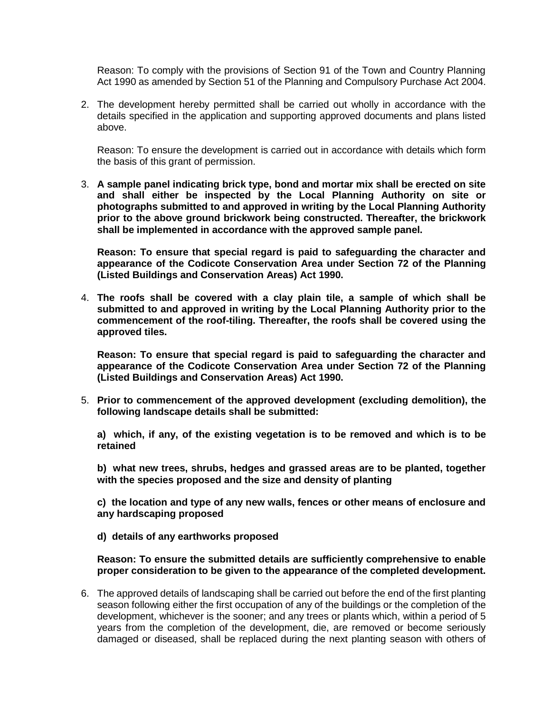Reason: To comply with the provisions of Section 91 of the Town and Country Planning Act 1990 as amended by Section 51 of the Planning and Compulsory Purchase Act 2004.

2. The development hereby permitted shall be carried out wholly in accordance with the details specified in the application and supporting approved documents and plans listed above.

Reason: To ensure the development is carried out in accordance with details which form the basis of this grant of permission.

3. **A sample panel indicating brick type, bond and mortar mix shall be erected on site and shall either be inspected by the Local Planning Authority on site or photographs submitted to and approved in writing by the Local Planning Authority prior to the above ground brickwork being constructed. Thereafter, the brickwork shall be implemented in accordance with the approved sample panel.** 

**Reason: To ensure that special regard is paid to safeguarding the character and appearance of the Codicote Conservation Area under Section 72 of the Planning (Listed Buildings and Conservation Areas) Act 1990.** 

4. **The roofs shall be covered with a clay plain tile, a sample of which shall be submitted to and approved in writing by the Local Planning Authority prior to the commencement of the roof-tiling. Thereafter, the roofs shall be covered using the approved tiles.** 

**Reason: To ensure that special regard is paid to safeguarding the character and appearance of the Codicote Conservation Area under Section 72 of the Planning (Listed Buildings and Conservation Areas) Act 1990.** 

5. **Prior to commencement of the approved development (excluding demolition), the following landscape details shall be submitted:**

**a) which, if any, of the existing vegetation is to be removed and which is to be retained**

**b) what new trees, shrubs, hedges and grassed areas are to be planted, together with the species proposed and the size and density of planting**

**c) the location and type of any new walls, fences or other means of enclosure and any hardscaping proposed**

**d) details of any earthworks proposed**

### **Reason: To ensure the submitted details are sufficiently comprehensive to enable proper consideration to be given to the appearance of the completed development.**

6. The approved details of landscaping shall be carried out before the end of the first planting season following either the first occupation of any of the buildings or the completion of the development, whichever is the sooner; and any trees or plants which, within a period of 5 years from the completion of the development, die, are removed or become seriously damaged or diseased, shall be replaced during the next planting season with others of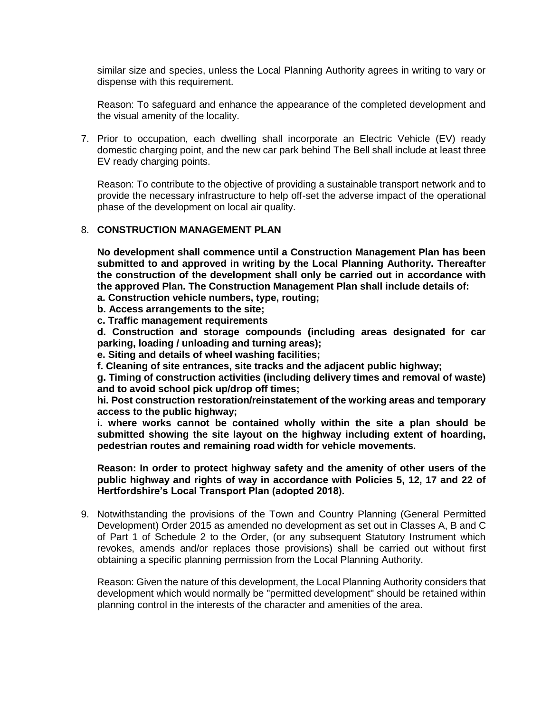similar size and species, unless the Local Planning Authority agrees in writing to vary or dispense with this requirement.

Reason: To safeguard and enhance the appearance of the completed development and the visual amenity of the locality.

7. Prior to occupation, each dwelling shall incorporate an Electric Vehicle (EV) ready domestic charging point, and the new car park behind The Bell shall include at least three EV ready charging points.

Reason: To contribute to the objective of providing a sustainable transport network and to provide the necessary infrastructure to help off-set the adverse impact of the operational phase of the development on local air quality.

### 8. **CONSTRUCTION MANAGEMENT PLAN**

**No development shall commence until a Construction Management Plan has been submitted to and approved in writing by the Local Planning Authority. Thereafter the construction of the development shall only be carried out in accordance with the approved Plan. The Construction Management Plan shall include details of:**

- **a. Construction vehicle numbers, type, routing;**
- **b. Access arrangements to the site;**
- **c. Traffic management requirements**

**d. Construction and storage compounds (including areas designated for car parking, loading / unloading and turning areas);**

**e. Siting and details of wheel washing facilities;**

**f. Cleaning of site entrances, site tracks and the adjacent public highway;**

**g. Timing of construction activities (including delivery times and removal of waste) and to avoid school pick up/drop off times;**

**hi. Post construction restoration/reinstatement of the working areas and temporary access to the public highway;**

**i. where works cannot be contained wholly within the site a plan should be submitted showing the site layout on the highway including extent of hoarding, pedestrian routes and remaining road width for vehicle movements.**

**Reason: In order to protect highway safety and the amenity of other users of the public highway and rights of way in accordance with Policies 5, 12, 17 and 22 of Hertfordshire's Local Transport Plan (adopted 2018).**

9. Notwithstanding the provisions of the Town and Country Planning (General Permitted Development) Order 2015 as amended no development as set out in Classes A, B and C of Part 1 of Schedule 2 to the Order, (or any subsequent Statutory Instrument which revokes, amends and/or replaces those provisions) shall be carried out without first obtaining a specific planning permission from the Local Planning Authority.

Reason: Given the nature of this development, the Local Planning Authority considers that development which would normally be "permitted development" should be retained within planning control in the interests of the character and amenities of the area.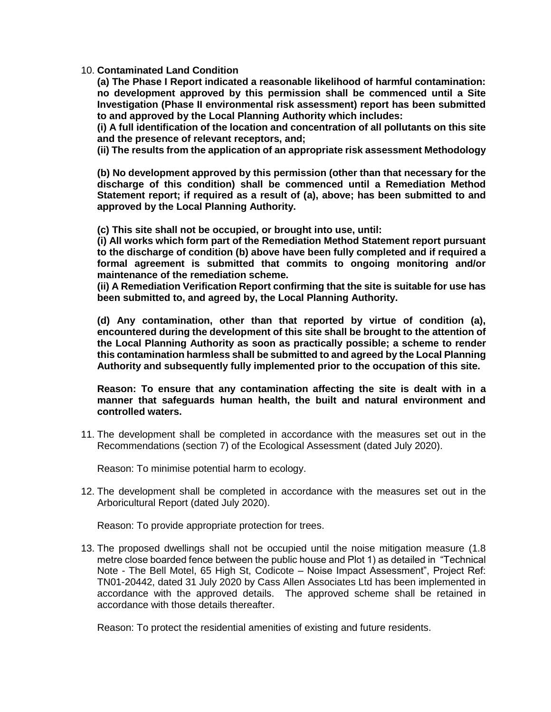10. **Contaminated Land Condition**

**(a) The Phase I Report indicated a reasonable likelihood of harmful contamination: no development approved by this permission shall be commenced until a Site Investigation (Phase II environmental risk assessment) report has been submitted to and approved by the Local Planning Authority which includes:** 

**(i) A full identification of the location and concentration of all pollutants on this site and the presence of relevant receptors, and;** 

**(ii) The results from the application of an appropriate risk assessment Methodology**

**(b) No development approved by this permission (other than that necessary for the discharge of this condition) shall be commenced until a Remediation Method Statement report; if required as a result of (a), above; has been submitted to and approved by the Local Planning Authority.** 

**(c) This site shall not be occupied, or brought into use, until:** 

**(i) All works which form part of the Remediation Method Statement report pursuant to the discharge of condition (b) above have been fully completed and if required a formal agreement is submitted that commits to ongoing monitoring and/or maintenance of the remediation scheme.** 

**(ii) A Remediation Verification Report confirming that the site is suitable for use has been submitted to, and agreed by, the Local Planning Authority.** 

**(d) Any contamination, other than that reported by virtue of condition (a), encountered during the development of this site shall be brought to the attention of the Local Planning Authority as soon as practically possible; a scheme to render this contamination harmless shall be submitted to and agreed by the Local Planning Authority and subsequently fully implemented prior to the occupation of this site.** 

**Reason: To ensure that any contamination affecting the site is dealt with in a manner that safeguards human health, the built and natural environment and controlled waters.**

11. The development shall be completed in accordance with the measures set out in the Recommendations (section 7) of the Ecological Assessment (dated July 2020).

Reason: To minimise potential harm to ecology.

12. The development shall be completed in accordance with the measures set out in the Arboricultural Report (dated July 2020).

Reason: To provide appropriate protection for trees.

13. The proposed dwellings shall not be occupied until the noise mitigation measure (1.8 metre close boarded fence between the public house and Plot 1) as detailed in "Technical Note - The Bell Motel, 65 High St, Codicote – Noise Impact Assessment", Project Ref: TN01-20442, dated 31 July 2020 by Cass Allen Associates Ltd has been implemented in accordance with the approved details. The approved scheme shall be retained in accordance with those details thereafter.

Reason: To protect the residential amenities of existing and future residents.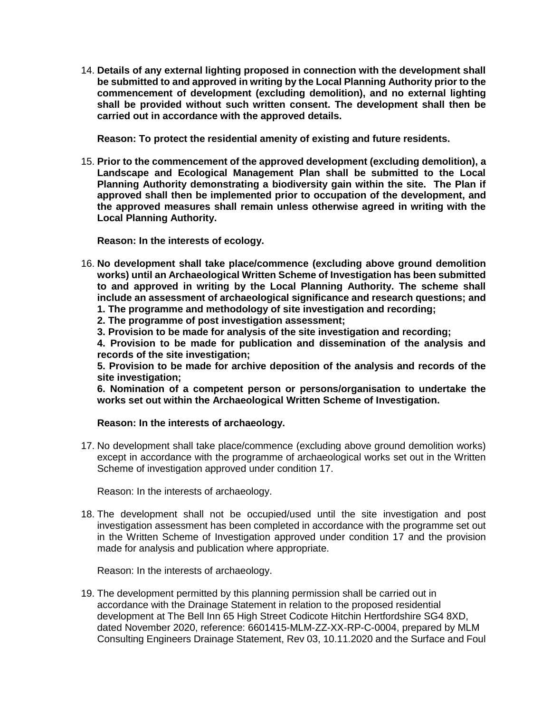14. **Details of any external lighting proposed in connection with the development shall be submitted to and approved in writing by the Local Planning Authority prior to the commencement of development (excluding demolition), and no external lighting shall be provided without such written consent. The development shall then be carried out in accordance with the approved details.**

**Reason: To protect the residential amenity of existing and future residents.**

15. **Prior to the commencement of the approved development (excluding demolition), a Landscape and Ecological Management Plan shall be submitted to the Local Planning Authority demonstrating a biodiversity gain within the site. The Plan if approved shall then be implemented prior to occupation of the development, and the approved measures shall remain unless otherwise agreed in writing with the Local Planning Authority.**

**Reason: In the interests of ecology.**

16. **No development shall take place/commence (excluding above ground demolition works) until an Archaeological Written Scheme of Investigation has been submitted to and approved in writing by the Local Planning Authority. The scheme shall include an assessment of archaeological significance and research questions; and**

**1. The programme and methodology of site investigation and recording;**

**2. The programme of post investigation assessment;**

**3. Provision to be made for analysis of the site investigation and recording;**

**4. Provision to be made for publication and dissemination of the analysis and records of the site investigation;**

**5. Provision to be made for archive deposition of the analysis and records of the site investigation;**

**6. Nomination of a competent person or persons/organisation to undertake the works set out within the Archaeological Written Scheme of Investigation.**

### **Reason: In the interests of archaeology.**

17. No development shall take place/commence (excluding above ground demolition works) except in accordance with the programme of archaeological works set out in the Written Scheme of investigation approved under condition 17.

Reason: In the interests of archaeology.

18. The development shall not be occupied/used until the site investigation and post investigation assessment has been completed in accordance with the programme set out in the Written Scheme of Investigation approved under condition 17 and the provision made for analysis and publication where appropriate.

Reason: In the interests of archaeology.

19. The development permitted by this planning permission shall be carried out in accordance with the Drainage Statement in relation to the proposed residential development at The Bell Inn 65 High Street Codicote Hitchin Hertfordshire SG4 8XD, dated November 2020, reference: 6601415-MLM-ZZ-XX-RP-C-0004, prepared by MLM Consulting Engineers Drainage Statement, Rev 03, 10.11.2020 and the Surface and Foul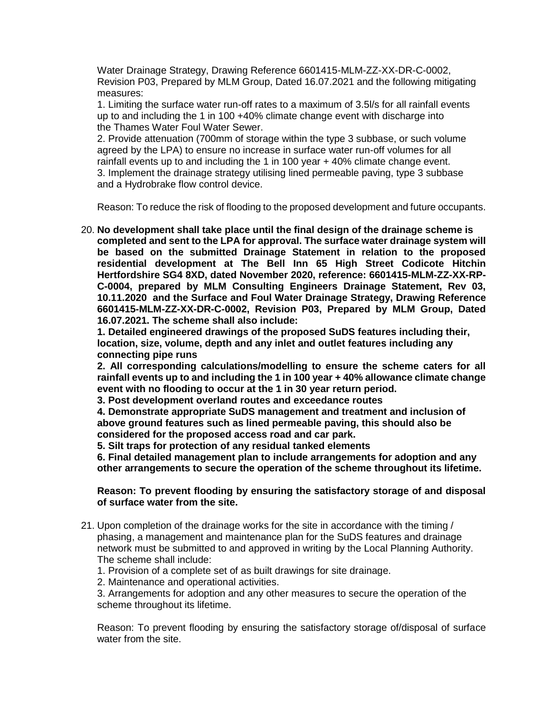Water Drainage Strategy, Drawing Reference 6601415-MLM-ZZ-XX-DR-C-0002, Revision P03, Prepared by MLM Group, Dated 16.07.2021 and the following mitigating measures:

1. Limiting the surface water run-off rates to a maximum of 3.5l/s for all rainfall events up to and including the 1 in 100 +40% climate change event with discharge into the Thames Water Foul Water Sewer.

2. Provide attenuation (700mm of storage within the type 3 subbase, or such volume agreed by the LPA) to ensure no increase in surface water run-off volumes for all rainfall events up to and including the 1 in 100 year + 40% climate change event. 3. Implement the drainage strategy utilising lined permeable paving, type 3 subbase and a Hydrobrake flow control device.

Reason: To reduce the risk of flooding to the proposed development and future occupants.

20. **No development shall take place until the final design of the drainage scheme is completed and sent to the LPA for approval. The surface water drainage system will be based on the submitted Drainage Statement in relation to the proposed residential development at The Bell Inn 65 High Street Codicote Hitchin Hertfordshire SG4 8XD, dated November 2020, reference: 6601415-MLM-ZZ-XX-RP-C-0004, prepared by MLM Consulting Engineers Drainage Statement, Rev 03, 10.11.2020 and the Surface and Foul Water Drainage Strategy, Drawing Reference 6601415-MLM-ZZ-XX-DR-C-0002, Revision P03, Prepared by MLM Group, Dated 16.07.2021. The scheme shall also include:** 

**1. Detailed engineered drawings of the proposed SuDS features including their, location, size, volume, depth and any inlet and outlet features including any connecting pipe runs** 

**2. All corresponding calculations/modelling to ensure the scheme caters for all rainfall events up to and including the 1 in 100 year + 40% allowance climate change event with no flooding to occur at the 1 in 30 year return period.** 

**3. Post development overland routes and exceedance routes** 

**4. Demonstrate appropriate SuDS management and treatment and inclusion of above ground features such as lined permeable paving, this should also be considered for the proposed access road and car park.** 

**5. Silt traps for protection of any residual tanked elements** 

**6. Final detailed management plan to include arrangements for adoption and any other arrangements to secure the operation of the scheme throughout its lifetime.**

### **Reason: To prevent flooding by ensuring the satisfactory storage of and disposal of surface water from the site.**

- 21. Upon completion of the drainage works for the site in accordance with the timing / phasing, a management and maintenance plan for the SuDS features and drainage network must be submitted to and approved in writing by the Local Planning Authority. The scheme shall include:
	- 1. Provision of a complete set of as built drawings for site drainage.
	- 2. Maintenance and operational activities.

3. Arrangements for adoption and any other measures to secure the operation of the scheme throughout its lifetime.

Reason: To prevent flooding by ensuring the satisfactory storage of/disposal of surface water from the site.